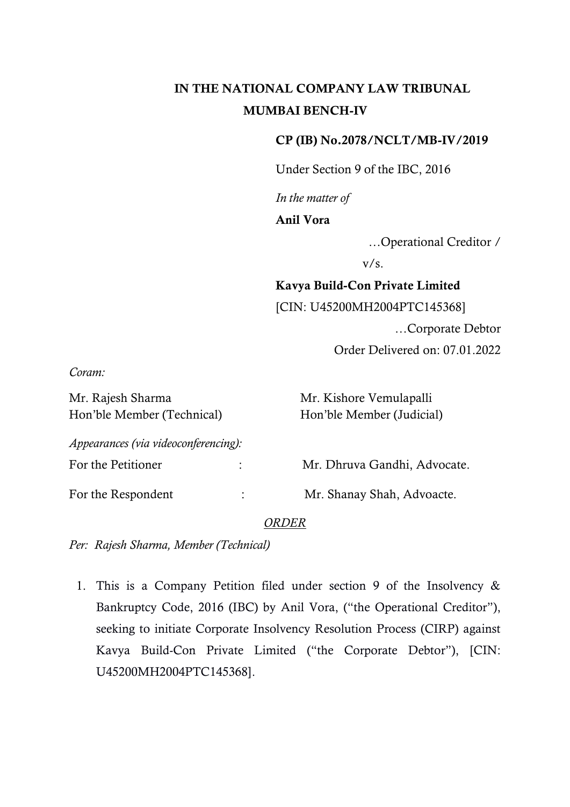# IN THE NATIONAL COMPANY LAW TRIBUNAL MUMBAI BENCH-IV

### CP (IB) No.2078/NCLT/MB-IV/2019

Under Section 9 of the IBC, 2016

*In the matter of* 

Anil Vora

…Operational Creditor /

 $v/s$ .

# Kavya Build-Con Private Limited

[CIN: U45200MH2004PTC145368]

…Corporate Debtor

Order Delivered on: 07.01.2022

*Coram:*

| Mr. Rajesh Sharma                    |                | Mr. Kishore Vemulapalli      |
|--------------------------------------|----------------|------------------------------|
| Hon'ble Member (Technical)           |                | Hon'ble Member (Judicial)    |
| Appearances (via videoconferencing): |                |                              |
| For the Petitioner                   |                | Mr. Dhruva Gandhi, Advocate. |
| For the Respondent                   | $\ddot{\cdot}$ | Mr. Shanay Shah, Advoacte.   |

#### *ORDER*

*Per: Rajesh Sharma, Member (Technical)*

1. This is a Company Petition filed under section 9 of the Insolvency & Bankruptcy Code, 2016 (IBC) by Anil Vora, ("the Operational Creditor"), seeking to initiate Corporate Insolvency Resolution Process (CIRP) against Kavya Build-Con Private Limited ("the Corporate Debtor"), [CIN: U45200MH2004PTC145368].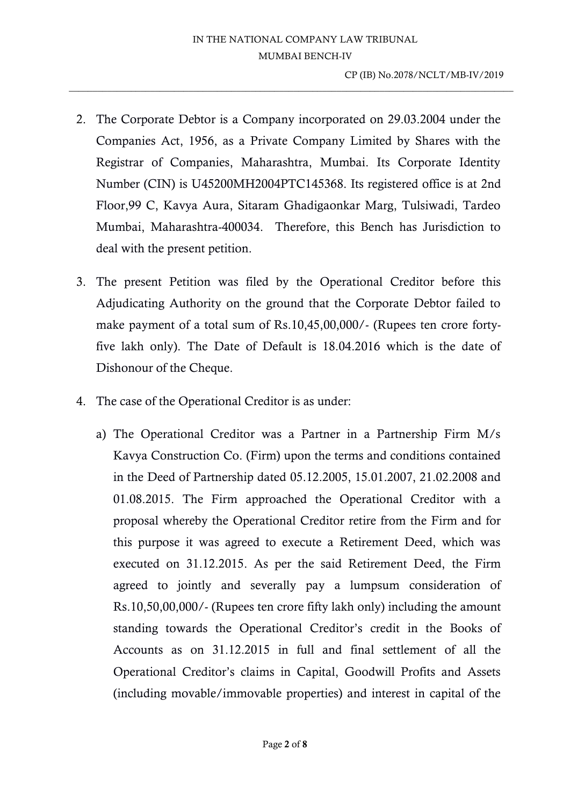2. The Corporate Debtor is a Company incorporated on 29.03.2004 under the Companies Act, 1956, as a Private Company Limited by Shares with the Registrar of Companies, Maharashtra, Mumbai. Its Corporate Identity Number (CIN) is U45200MH2004PTC145368. Its registered office is at 2nd Floor,99 C, Kavya Aura, Sitaram Ghadigaonkar Marg, Tulsiwadi, Tardeo Mumbai, Maharashtra-400034. Therefore, this Bench has Jurisdiction to deal with the present petition.

 $\_$  ,  $\_$  ,  $\_$  ,  $\_$  ,  $\_$  ,  $\_$  ,  $\_$  ,  $\_$  ,  $\_$  ,  $\_$  ,  $\_$  ,  $\_$  ,  $\_$  ,  $\_$  ,  $\_$  ,  $\_$  ,  $\_$  ,  $\_$  ,  $\_$  ,  $\_$  ,  $\_$  ,  $\_$  ,  $\_$  ,  $\_$  ,  $\_$  ,  $\_$  ,  $\_$  ,  $\_$  ,  $\_$  ,  $\_$  ,  $\_$  ,  $\_$  ,  $\_$  ,  $\_$  ,  $\_$  ,  $\_$  ,  $\_$  ,

- 3. The present Petition was filed by the Operational Creditor before this Adjudicating Authority on the ground that the Corporate Debtor failed to make payment of a total sum of Rs.10,45,00,000/- (Rupees ten crore fortyfive lakh only). The Date of Default is 18.04.2016 which is the date of Dishonour of the Cheque.
- 4. The case of the Operational Creditor is as under:
	- a) The Operational Creditor was a Partner in a Partnership Firm M/s Kavya Construction Co. (Firm) upon the terms and conditions contained in the Deed of Partnership dated 05.12.2005, 15.01.2007, 21.02.2008 and 01.08.2015. The Firm approached the Operational Creditor with a proposal whereby the Operational Creditor retire from the Firm and for this purpose it was agreed to execute a Retirement Deed, which was executed on 31.12.2015. As per the said Retirement Deed, the Firm agreed to jointly and severally pay a lumpsum consideration of Rs.10,50,00,000/- (Rupees ten crore fifty lakh only) including the amount standing towards the Operational Creditor's credit in the Books of Accounts as on 31.12.2015 in full and final settlement of all the Operational Creditor's claims in Capital, Goodwill Profits and Assets (including movable/immovable properties) and interest in capital of the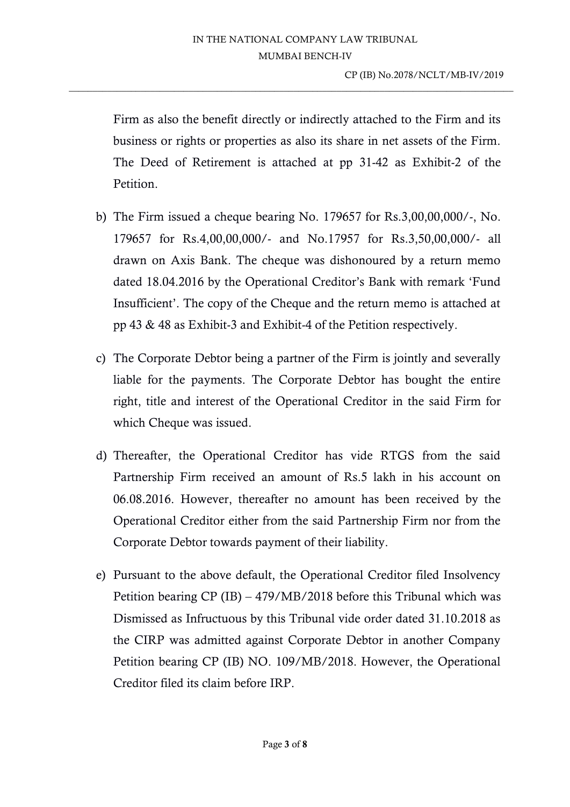$\_$  ,  $\_$  ,  $\_$  ,  $\_$  ,  $\_$  ,  $\_$  ,  $\_$  ,  $\_$  ,  $\_$  ,  $\_$  ,  $\_$  ,  $\_$  ,  $\_$  ,  $\_$  ,  $\_$  ,  $\_$  ,  $\_$  ,  $\_$  ,  $\_$  ,  $\_$  ,  $\_$  ,  $\_$  ,  $\_$  ,  $\_$  ,  $\_$  ,  $\_$  ,  $\_$  ,  $\_$  ,  $\_$  ,  $\_$  ,  $\_$  ,  $\_$  ,  $\_$  ,  $\_$  ,  $\_$  ,  $\_$  ,  $\_$  ,

Firm as also the benefit directly or indirectly attached to the Firm and its business or rights or properties as also its share in net assets of the Firm. The Deed of Retirement is attached at pp 31-42 as Exhibit-2 of the Petition.

- b) The Firm issued a cheque bearing No. 179657 for Rs.3,00,00,000/-, No. 179657 for Rs.4,00,00,000/- and No.17957 for Rs.3,50,00,000/- all drawn on Axis Bank. The cheque was dishonoured by a return memo dated 18.04.2016 by the Operational Creditor's Bank with remark 'Fund Insufficient'. The copy of the Cheque and the return memo is attached at pp 43 & 48 as Exhibit-3 and Exhibit-4 of the Petition respectively.
- c) The Corporate Debtor being a partner of the Firm is jointly and severally liable for the payments. The Corporate Debtor has bought the entire right, title and interest of the Operational Creditor in the said Firm for which Cheque was issued.
- d) Thereafter, the Operational Creditor has vide RTGS from the said Partnership Firm received an amount of Rs.5 lakh in his account on 06.08.2016. However, thereafter no amount has been received by the Operational Creditor either from the said Partnership Firm nor from the Corporate Debtor towards payment of their liability.
- e) Pursuant to the above default, the Operational Creditor filed Insolvency Petition bearing CP (IB) – 479/MB/2018 before this Tribunal which was Dismissed as Infructuous by this Tribunal vide order dated 31.10.2018 as the CIRP was admitted against Corporate Debtor in another Company Petition bearing CP (IB) NO. 109/MB/2018. However, the Operational Creditor filed its claim before IRP.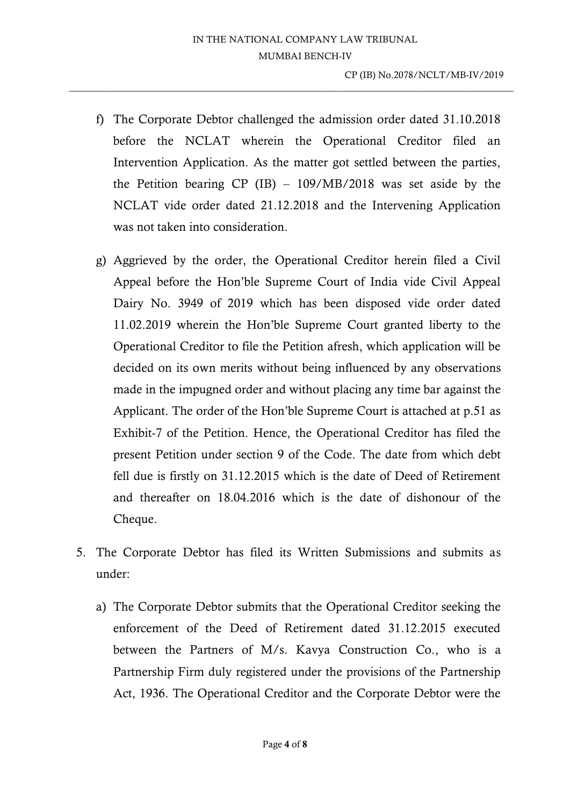$\_$  ,  $\_$  ,  $\_$  ,  $\_$  ,  $\_$  ,  $\_$  ,  $\_$  ,  $\_$  ,  $\_$  ,  $\_$  ,  $\_$  ,  $\_$  ,  $\_$  ,  $\_$  ,  $\_$  ,  $\_$  ,  $\_$  ,  $\_$  ,  $\_$  ,  $\_$  ,  $\_$  ,  $\_$  ,  $\_$  ,  $\_$  ,  $\_$  ,  $\_$  ,  $\_$  ,  $\_$  ,  $\_$  ,  $\_$  ,  $\_$  ,  $\_$  ,  $\_$  ,  $\_$  ,  $\_$  ,  $\_$  ,  $\_$  ,

- f) The Corporate Debtor challenged the admission order dated 31.10.2018 before the NCLAT wherein the Operational Creditor filed an Intervention Application. As the matter got settled between the parties, the Petition bearing CP (IB) – 109/MB/2018 was set aside by the NCLAT vide order dated 21.12.2018 and the Intervening Application was not taken into consideration.
- g) Aggrieved by the order, the Operational Creditor herein filed a Civil Appeal before the Hon'ble Supreme Court of India vide Civil Appeal Dairy No. 3949 of 2019 which has been disposed vide order dated 11.02.2019 wherein the Hon'ble Supreme Court granted liberty to the Operational Creditor to file the Petition afresh, which application will be decided on its own merits without being influenced by any observations made in the impugned order and without placing any time bar against the Applicant. The order of the Hon'ble Supreme Court is attached at p.51 as Exhibit-7 of the Petition. Hence, the Operational Creditor has filed the present Petition under section 9 of the Code. The date from which debt fell due is firstly on 31.12.2015 which is the date of Deed of Retirement and thereafter on 18.04.2016 which is the date of dishonour of the Cheque.
- 5. The Corporate Debtor has filed its Written Submissions and submits as under:
	- a) The Corporate Debtor submits that the Operational Creditor seeking the enforcement of the Deed of Retirement dated 31.12.2015 executed between the Partners of M/s. Kavya Construction Co., who is a Partnership Firm duly registered under the provisions of the Partnership Act, 1936. The Operational Creditor and the Corporate Debtor were the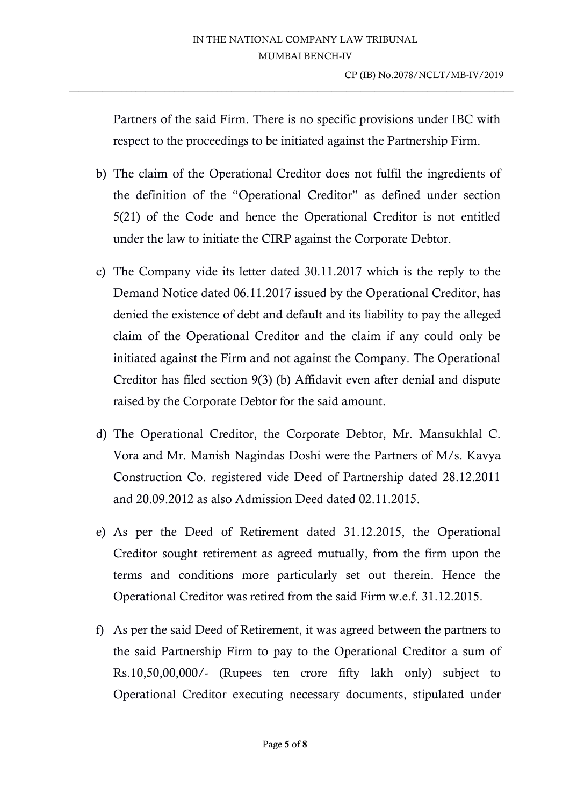Partners of the said Firm. There is no specific provisions under IBC with respect to the proceedings to be initiated against the Partnership Firm.

 $\_$  ,  $\_$  ,  $\_$  ,  $\_$  ,  $\_$  ,  $\_$  ,  $\_$  ,  $\_$  ,  $\_$  ,  $\_$  ,  $\_$  ,  $\_$  ,  $\_$  ,  $\_$  ,  $\_$  ,  $\_$  ,  $\_$  ,  $\_$  ,  $\_$  ,  $\_$  ,  $\_$  ,  $\_$  ,  $\_$  ,  $\_$  ,  $\_$  ,  $\_$  ,  $\_$  ,  $\_$  ,  $\_$  ,  $\_$  ,  $\_$  ,  $\_$  ,  $\_$  ,  $\_$  ,  $\_$  ,  $\_$  ,  $\_$  ,

- b) The claim of the Operational Creditor does not fulfil the ingredients of the definition of the "Operational Creditor" as defined under section 5(21) of the Code and hence the Operational Creditor is not entitled under the law to initiate the CIRP against the Corporate Debtor.
- c) The Company vide its letter dated 30.11.2017 which is the reply to the Demand Notice dated 06.11.2017 issued by the Operational Creditor, has denied the existence of debt and default and its liability to pay the alleged claim of the Operational Creditor and the claim if any could only be initiated against the Firm and not against the Company. The Operational Creditor has filed section 9(3) (b) Affidavit even after denial and dispute raised by the Corporate Debtor for the said amount.
- d) The Operational Creditor, the Corporate Debtor, Mr. Mansukhlal C. Vora and Mr. Manish Nagindas Doshi were the Partners of M/s. Kavya Construction Co. registered vide Deed of Partnership dated 28.12.2011 and 20.09.2012 as also Admission Deed dated 02.11.2015.
- e) As per the Deed of Retirement dated 31.12.2015, the Operational Creditor sought retirement as agreed mutually, from the firm upon the terms and conditions more particularly set out therein. Hence the Operational Creditor was retired from the said Firm w.e.f. 31.12.2015.
- f) As per the said Deed of Retirement, it was agreed between the partners to the said Partnership Firm to pay to the Operational Creditor a sum of Rs.10,50,00,000/- (Rupees ten crore fifty lakh only) subject to Operational Creditor executing necessary documents, stipulated under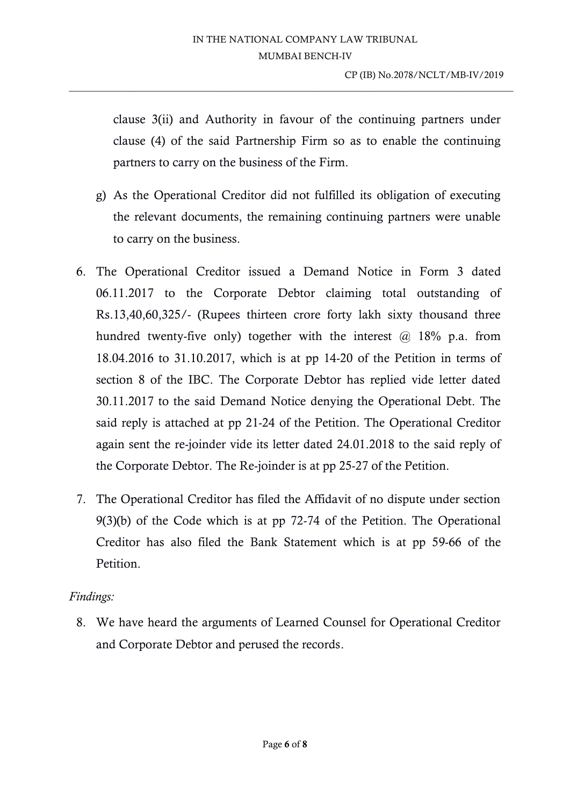$\_$  ,  $\_$  ,  $\_$  ,  $\_$  ,  $\_$  ,  $\_$  ,  $\_$  ,  $\_$  ,  $\_$  ,  $\_$  ,  $\_$  ,  $\_$  ,  $\_$  ,  $\_$  ,  $\_$  ,  $\_$  ,  $\_$  ,  $\_$  ,  $\_$  ,  $\_$  ,  $\_$  ,  $\_$  ,  $\_$  ,  $\_$  ,  $\_$  ,  $\_$  ,  $\_$  ,  $\_$  ,  $\_$  ,  $\_$  ,  $\_$  ,  $\_$  ,  $\_$  ,  $\_$  ,  $\_$  ,  $\_$  ,  $\_$  ,

clause 3(ii) and Authority in favour of the continuing partners under clause (4) of the said Partnership Firm so as to enable the continuing partners to carry on the business of the Firm.

- g) As the Operational Creditor did not fulfilled its obligation of executing the relevant documents, the remaining continuing partners were unable to carry on the business.
- 6. The Operational Creditor issued a Demand Notice in Form 3 dated 06.11.2017 to the Corporate Debtor claiming total outstanding of Rs.13,40,60,325/- (Rupees thirteen crore forty lakh sixty thousand three hundred twenty-five only) together with the interest  $\omega$  18% p.a. from 18.04.2016 to 31.10.2017, which is at pp 14-20 of the Petition in terms of section 8 of the IBC. The Corporate Debtor has replied vide letter dated 30.11.2017 to the said Demand Notice denying the Operational Debt. The said reply is attached at pp 21-24 of the Petition. The Operational Creditor again sent the re-joinder vide its letter dated 24.01.2018 to the said reply of the Corporate Debtor. The Re-joinder is at pp 25-27 of the Petition.
- 7. The Operational Creditor has filed the Affidavit of no dispute under section 9(3)(b) of the Code which is at pp 72-74 of the Petition. The Operational Creditor has also filed the Bank Statement which is at pp 59-66 of the Petition.

## *Findings:*

8. We have heard the arguments of Learned Counsel for Operational Creditor and Corporate Debtor and perused the records.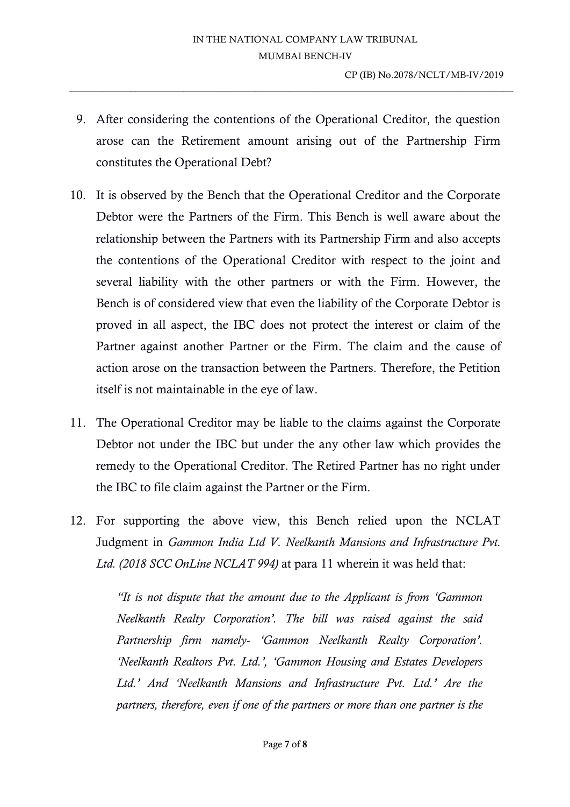9. After considering the contentions of the Operational Creditor, the question arose can the Retirement amount arising out of the Partnership Firm constitutes the Operational Debt?

 $\_$  ,  $\_$  ,  $\_$  ,  $\_$  ,  $\_$  ,  $\_$  ,  $\_$  ,  $\_$  ,  $\_$  ,  $\_$  ,  $\_$  ,  $\_$  ,  $\_$  ,  $\_$  ,  $\_$  ,  $\_$  ,  $\_$  ,  $\_$  ,  $\_$  ,  $\_$  ,  $\_$  ,  $\_$  ,  $\_$  ,  $\_$  ,  $\_$  ,  $\_$  ,  $\_$  ,  $\_$  ,  $\_$  ,  $\_$  ,  $\_$  ,  $\_$  ,  $\_$  ,  $\_$  ,  $\_$  ,  $\_$  ,  $\_$  ,

- 10. It is observed by the Bench that the Operational Creditor and the Corporate Debtor were the Partners of the Firm. This Bench is well aware about the relationship between the Partners with its Partnership Firm and also accepts the contentions of the Operational Creditor with respect to the joint and several liability with the other partners or with the Firm. However, the Bench is of considered view that even the liability of the Corporate Debtor is proved in all aspect, the IBC does not protect the interest or claim of the Partner against another Partner or the Firm. The claim and the cause of action arose on the transaction between the Partners. Therefore, the Petition itself is not maintainable in the eye of law.
- 11. The Operational Creditor may be liable to the claims against the Corporate Debtor not under the IBC but under the any other law which provides the remedy to the Operational Creditor. The Retired Partner has no right under the IBC to file claim against the Partner or the Firm.
- 12. For supporting the above view, this Bench relied upon the NCLAT Judgment in *Gammon India Ltd V. Neelkanth Mansions and Infrastructure Pvt. Ltd. (2018 SCC OnLine NCLAT 994)* at para 11 wherein it was held that:

*"It is not dispute that the amount due to the Applicant is from 'Gammon Neelkanth Realty Corporation'. The bill was raised against the said Partnership firm namely- 'Gammon Neelkanth Realty Corporation'. 'Neelkanth Realtors Pvt. Ltd.', 'Gammon Housing and Estates Developers Ltd.' And 'Neelkanth Mansions and Infrastructure Pvt. Ltd.' Are the partners, therefore, even if one of the partners or more than one partner is the*